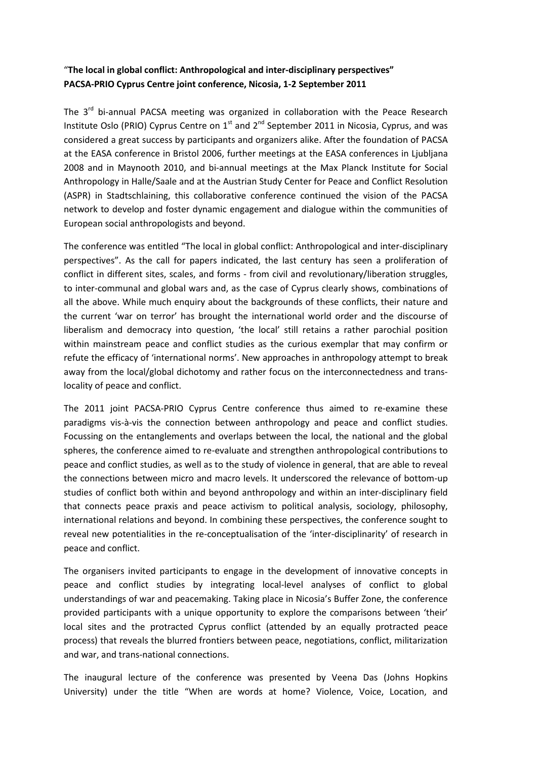## "**The local in global conflict: Anthropological and inter-disciplinary perspectives" PACSA-PRIO Cyprus Centre joint conference, Nicosia, 1-2 September 2011**

The 3<sup>rd</sup> bi-annual PACSA meeting was organized in collaboration with the Peace Research Institute Oslo (PRIO) Cyprus Centre on  $1<sup>st</sup>$  and  $2<sup>nd</sup>$  September 2011 in Nicosia, Cyprus, and was considered a great success by participants and organizers alike. After the foundation of PACSA at the EASA conference in Bristol 2006, further meetings at the EASA conferences in Ljubljana 2008 and in Maynooth 2010, and bi-annual meetings at the Max Planck Institute for Social Anthropology in Halle/Saale and at the Austrian Study Center for Peace and Conflict Resolution (ASPR) in Stadtschlaining, this collaborative conference continued the vision of the PACSA network to develop and foster dynamic engagement and dialogue within the communities of European social anthropologists and beyond.

The conference was entitled "The local in global conflict: Anthropological and inter-disciplinary perspectives". As the call for papers indicated, the last century has seen a proliferation of conflict in different sites, scales, and forms - from civil and revolutionary/liberation struggles, to inter-communal and global wars and, as the case of Cyprus clearly shows, combinations of all the above. While much enquiry about the backgrounds of these conflicts, their nature and the current 'war on terror' has brought the international world order and the discourse of liberalism and democracy into question, 'the local' still retains a rather parochial position within mainstream peace and conflict studies as the curious exemplar that may confirm or refute the efficacy of 'international norms'. New approaches in anthropology attempt to break away from the local/global dichotomy and rather focus on the interconnectedness and translocality of peace and conflict.

The 2011 joint PACSA-PRIO Cyprus Centre conference thus aimed to re-examine these paradigms vis-à-vis the connection between anthropology and peace and conflict studies. Focussing on the entanglements and overlaps between the local, the national and the global spheres, the conference aimed to re-evaluate and strengthen anthropological contributions to peace and conflict studies, as well as to the study of violence in general, that are able to reveal the connections between micro and macro levels. It underscored the relevance of bottom-up studies of conflict both within and beyond anthropology and within an inter-disciplinary field that connects peace praxis and peace activism to political analysis, sociology, philosophy, international relations and beyond. In combining these perspectives, the conference sought to reveal new potentialities in the re-conceptualisation of the 'inter-disciplinarity' of research in peace and conflict.

The organisers invited participants to engage in the development of innovative concepts in peace and conflict studies by integrating local-level analyses of conflict to global understandings of war and peacemaking. Taking place in Nicosia's Buffer Zone, the conference provided participants with a unique opportunity to explore the comparisons between 'their' local sites and the protracted Cyprus conflict (attended by an equally protracted peace process) that reveals the blurred frontiers between peace, negotiations, conflict, militarization and war, and trans-national connections.

The inaugural lecture of the conference was presented by Veena Das (Johns Hopkins University) under the title "When are words at home? Violence, Voice, Location, and